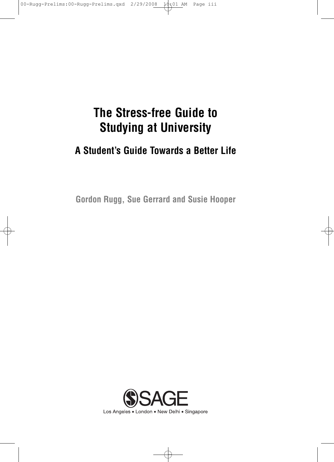# **The Stress-free Guide to Studying at University**

# **A Student's Guide Towards a Better Life**

**Gordon Rugg, Sue Gerrard and Susie Hooper**

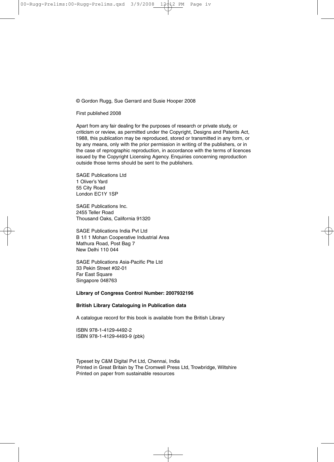© Gordon Rugg, Sue Gerrard and Susie Hooper 2008

First published 2008

Apart from any fair dealing for the purposes of research or private study, or criticism or review, as permitted under the Copyright, Designs and Patents Act, 1988, this publication may be reproduced, stored or transmitted in any form, or by any means, only with the prior permission in writing of the publishers, or in the case of reprographic reproduction, in accordance with the terms of licences issued by the Copyright Licensing Agency. Enquiries concerning reproduction outside those terms should be sent to the publishers.

SAGE Publications Ltd 1 Oliver's Yard 55 City Road London EC1Y 1SP

SAGE Publications Inc. 2455 Teller Road Thousand Oaks, California 91320

SAGE Publications India Pvt Ltd B 1/I 1 Mohan Cooperative Industrial Area Mathura Road, Post Bag 7 New Delhi 110 044

SAGE Publications Asia-Pacific Pte Ltd 33 Pekin Street #02-01 Far East Square Singapore 048763

#### **Library of Congress Control Number: 2007932196**

#### **British Library Cataloguing in Publication data**

A catalogue record for this book is available from the British Library

ISBN 978-1-4129-4492-2 ISBN 978-1-4129-4493-9 (pbk)

Typeset by C&M Digital Pvt Ltd, Chennai, India Printed in Great Britain by The Cromwell Press Ltd, Trowbridge, Wiltshire Printed on paper from sustainable resources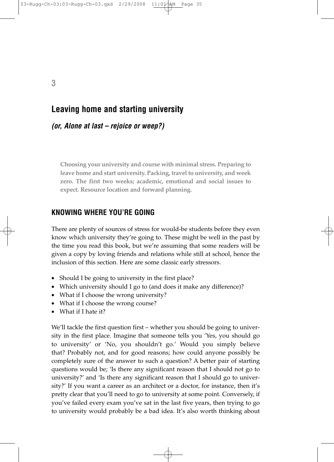**3**

# **Leaving home and starting university**

**(or, Alone at last – rejoice or weep?)**

**Choosing your university and course with minimal stress. Preparing to leave home and start university. Packing, travel to university, and week zero. The first two weeks; academic, emotional and social issues to expect. Resource location and forward planning.**

# **KNOWING WHERE YOU'RE GOING**

There are plenty of sources of stress for would-be students before they even know which university they're going to. These might be well in the past by the time you read this book, but we're assuming that some readers will be given a copy by loving friends and relations while still at school, hence the inclusion of this section. Here are some classic early stressors.

- Should I be going to university in the first place?
- Which university should I go to (and does it make any difference)?
- What if I choose the wrong university?
- What if I choose the wrong course?
- What if I hate it?

We'll tackle the first question first – whether you should be going to university in the first place. Imagine that someone tells you 'Yes, you should go to university' or 'No, you shouldn't go.' Would you simply believe that? Probably not, and for good reasons; how could anyone possibly be completely sure of the answer to such a question? A better pair of starting questions would be; 'Is there any significant reason that I should not go to university?' and 'Is there any significant reason that I should go to university?' If you want a career as an architect or a doctor, for instance, then it's pretty clear that you'll need to go to university at some point. Conversely, if you've failed every exam you've sat in the last five years, then trying to go to university would probably be a bad idea. It's also worth thinking about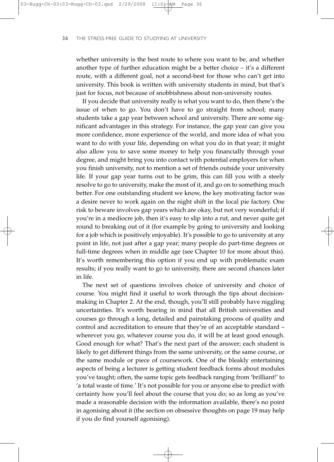whether university is the best route to where you want to be, and whether another type of further education might be a better choice – it's a different route, with a different goal, not a second-best for those who can't get into university. This book is written with university students in mind, but that's just for focus, not because of snobbishness about non-university routes.

If you decide that university really is what you want to do, then there's the issue of when to go. You don't have to go straight from school; many students take a gap year between school and university. There are some significant advantages in this strategy. For instance, the gap year can give you more confidence, more experience of the world, and more idea of what you want to do with your life, depending on what you do in that year; it might also allow you to save some money to help you financially through your degree, and might bring you into contact with potential employers for when you finish university, not to mention a set of friends outside your university life. If your gap year turns out to be grim, this can fill you with a steely resolve to go to university, make the most of it, and go on to something much better. For one outstanding student we know, the key motivating factor was a desire never to work again on the night shift in the local pie factory. One risk to beware involves gap years which are okay, but not very wonderful; if you're in a mediocre job, then it's easy to slip into a rut, and never quite get round to breaking out of it (for example by going to university and looking for a job which is positively enjoyable). It's possible to go to university at any point in life, not just after a gap year; many people do part-time degrees or full-time degrees when in middle age (see Chapter 10 for more about this). It's worth remembering this option if you end up with problematic exam results; if you really want to go to university, there are second chances later in life.

The next set of questions involves choice of university and choice of course. You might find it useful to work through the tips about decisionmaking in Chapter 2. At the end, though, you'll still probably have niggling uncertainties. It's worth bearing in mind that all British universities and courses go through a long, detailed and painstaking process of quality and control and accreditation to ensure that they're of an acceptable standard – wherever you go, whatever course you do, it will be at least good enough. Good enough for what? That's the next part of the answer; each student is likely to get different things from the same university, or the same course, or the same module or piece of coursework. One of the bleakly entertaining aspects of being a lecturer is getting student feedback forms about modules you've taught; often, the same topic gets feedback ranging from 'brilliant!' to 'a total waste of time.' It's not possible for you or anyone else to predict with certainty how you'll feel about the course that you do; so as long as you've made a reasonable decision with the information available, there's no point in agonising about it (the section on obsessive thoughts on page 19 may help if you do find yourself agonising).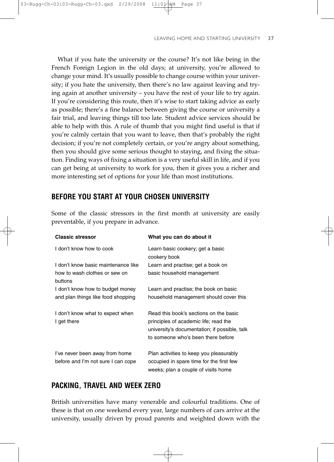### 03-Rugg-Ch-03:03-Rugg

#### LEAVING HOME AND STARTING UNIVERSITY **37**

What if you hate the university or the course? It's not like being in the French Foreign Legion in the old days; at university, you're allowed to change your mind. It's usually possible to change course within your university; if you hate the university, then there's no law against leaving and trying again at another university – you have the rest of your life to try again. If you're considering this route, then it's wise to start taking advice as early as possible; there's a fine balance between giving the course or university a fair trial, and leaving things till too late. Student advice services should be able to help with this. A rule of thumb that you might find useful is that if you're calmly certain that you want to leave, then that's probably the right decision; if you're not completely certain, or you're angry about something, then you should give some serious thought to staying, and fixing the situation. Finding ways of fixing a situation is a very useful skill in life, and if you can get being at university to work for you, then it gives you a richer and more interesting set of options for your life than most institutions.

# **BEFORE YOU START AT YOUR CHOSEN UNIVERSITY**

Some of the classic stressors in the first month at university are easily preventable, if you prepare in advance.

| What you can do about it                         |
|--------------------------------------------------|
| Learn basic cookery; get a basic<br>cookery book |
| Learn and practise; get a book on                |
| basic household management                       |
| Learn and practise; the book on basic            |
| household management should cover this           |
| Read this book's sections on the basic           |
| principles of academic life; read the            |
| university's documentation; if possible, talk    |
| to someone who's been there before               |
| Plan activities to keep you pleasurably          |
| occupied in spare time for the first few         |
| weeks; plan a couple of visits home              |
|                                                  |

# **PACKING, TRAVEL AND WEEK ZERO**

British universities have many venerable and colourful traditions. One of these is that on one weekend every year, large numbers of cars arrive at the university, usually driven by proud parents and weighted down with the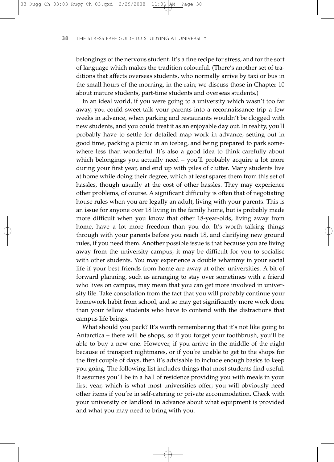belongings of the nervous student. It's a fine recipe for stress, and for the sort of language which makes the tradition colourful. (There's another set of traditions that affects overseas students, who normally arrive by taxi or bus in the small hours of the morning, in the rain; we discuss those in Chapter 10 about mature students, part-time students and overseas students.)

In an ideal world, if you were going to a university which wasn't too far away, you could sweet-talk your parents into a reconnaissance trip a few weeks in advance, when parking and restaurants wouldn't be clogged with new students, and you could treat it as an enjoyable day out. In reality, you'll probably have to settle for detailed map work in advance, setting out in good time, packing a picnic in an icebag, and being prepared to park somewhere less than wonderful. It's also a good idea to think carefully about which belongings you actually need – you'll probably acquire a lot more during your first year, and end up with piles of clutter. Many students live at home while doing their degree, which at least spares them from this set of hassles, though usually at the cost of other hassles. They may experience other problems, of course. A significant difficulty is often that of negotiating house rules when you are legally an adult, living with your parents. This is an issue for anyone over 18 living in the family home, but is probably made more difficult when you know that other 18-year-olds, living away from home, have a lot more freedom than you do. It's worth talking things through with your parents before you reach 18, and clarifying new ground rules, if you need them. Another possible issue is that because you are living away from the university campus, it may be difficult for you to socialise with other students. You may experience a double whammy in your social life if your best friends from home are away at other universities. A bit of forward planning, such as arranging to stay over sometimes with a friend who lives on campus, may mean that you can get more involved in university life. Take consolation from the fact that you will probably continue your homework habit from school, and so may get significantly more work done than your fellow students who have to contend with the distractions that campus life brings.

What should you pack? It's worth remembering that it's not like going to Antarctica – there will be shops, so if you forget your toothbrush, you'll be able to buy a new one. However, if you arrive in the middle of the night because of transport nightmares, or if you're unable to get to the shops for the first couple of days, then it's advisable to include enough basics to keep you going. The following list includes things that most students find useful. It assumes you'll be in a hall of residence providing you with meals in your first year, which is what most universities offer; you will obviously need other items if you're in self-catering or private accommodation. Check with your university or landlord in advance about what equipment is provided and what you may need to bring with you.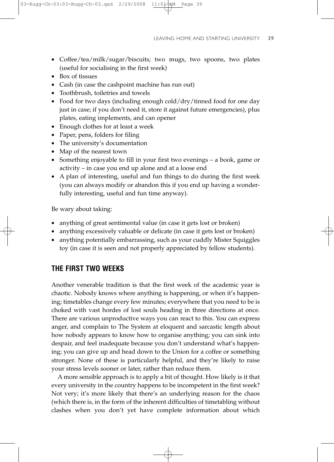LEAVING HOME AND STARTING UNIVERSITY **39**

- Coffee/tea/milk/sugar/biscuits; two mugs, two spoons, two plates (useful for socialising in the first week)
- Box of tissues
- Cash (in case the cashpoint machine has run out)
- Toothbrush, toiletries and towels
- Food for two days (including enough cold/dry/tinned food for one day just in case; if you don't need it, store it against future emergencies), plus plates, eating implements, and can opener
- Enough clothes for at least a week
- Paper, pens, folders for filing
- The university's documentation
- Map of the nearest town
- Something enjoyable to fill in your first two evenings a book, game or activity – in case you end up alone and at a loose end
- A plan of interesting, useful and fun things to do during the first week (you can always modify or abandon this if you end up having a wonderfully interesting, useful and fun time anyway).

Be wary about taking:

- anything of great sentimental value (in case it gets lost or broken)
- anything excessively valuable or delicate (in case it gets lost or broken)
- anything potentially embarrassing, such as your cuddly Mister Squiggles toy (in case it is seen and not properly appreciated by fellow students).

# **THE FIRST TWO WEEKS**

Another venerable tradition is that the first week of the academic year is chaotic. Nobody knows where anything is happening, or when it's happening; timetables change every few minutes; everywhere that you need to be is choked with vast hordes of lost souls heading in three directions at once. There are various unproductive ways you can react to this. You can express anger, and complain to The System at eloquent and sarcastic length about how nobody appears to know how to organise anything; you can sink into despair, and feel inadequate because you don't understand what's happening; you can give up and head down to the Union for a coffee or something stronger. None of these is particularly helpful, and they're likely to raise your stress levels sooner or later, rather than reduce them.

A more sensible approach is to apply a bit of thought. How likely is it that every university in the country happens to be incompetent in the first week? Not very; it's more likely that there's an underlying reason for the chaos (which there is, in the form of the inherent difficulties of timetabling without clashes when you don't yet have complete information about which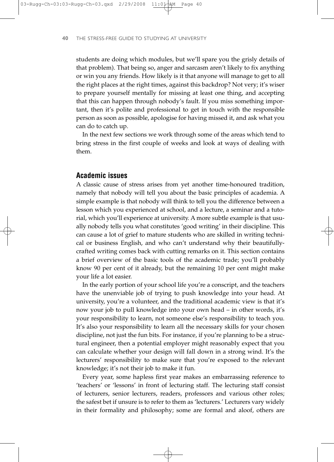students are doing which modules, but we'll spare you the grisly details of that problem). That being so, anger and sarcasm aren't likely to fix anything or win you any friends. How likely is it that anyone will manage to get to all the right places at the right times, against this backdrop? Not very; it's wiser to prepare yourself mentally for missing at least one thing, and accepting that this can happen through nobody's fault. If you miss something important, then it's polite and professional to get in touch with the responsible person as soon as possible, apologise for having missed it, and ask what you can do to catch up.

In the next few sections we work through some of the areas which tend to bring stress in the first couple of weeks and look at ways of dealing with them.

## **Academic issues**

A classic cause of stress arises from yet another time-honoured tradition, namely that nobody will tell you about the basic principles of academia. A simple example is that nobody will think to tell you the difference between a lesson which you experienced at school, and a lecture, a seminar and a tutorial, which you'll experience at university. A more subtle example is that usually nobody tells you what constitutes 'good writing' in their discipline. This can cause a lot of grief to mature students who are skilled in writing technical or business English, and who can't understand why their beautifullycrafted writing comes back with cutting remarks on it. This section contains a brief overview of the basic tools of the academic trade; you'll probably know 90 per cent of it already, but the remaining 10 per cent might make your life a lot easier.

In the early portion of your school life you're a conscript, and the teachers have the unenviable job of trying to push knowledge into your head. At university, you're a volunteer, and the traditional academic view is that it's now your job to pull knowledge into your own head – in other words, it's your responsibility to learn, not someone else's responsibility to teach you. It's also your responsibility to learn all the necessary skills for your chosen discipline, not just the fun bits. For instance, if you're planning to be a structural engineer, then a potential employer might reasonably expect that you can calculate whether your design will fall down in a strong wind. It's the lecturers' responsibility to make sure that you're exposed to the relevant knowledge; it's not their job to make it fun.

Every year, some hapless first year makes an embarrassing reference to 'teachers' or 'lessons' in front of lecturing staff. The lecturing staff consist of lecturers, senior lecturers, readers, professors and various other roles; the safest bet if unsure is to refer to them as 'lecturers.' Lecturers vary widely in their formality and philosophy; some are formal and aloof, others are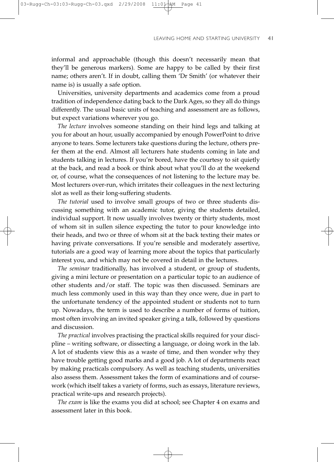informal and approachable (though this doesn't necessarily mean that they'll be generous markers). Some are happy to be called by their first name; others aren't. If in doubt, calling them 'Dr Smith' (or whatever their name is) is usually a safe option.

Universities, university departments and academics come from a proud tradition of independence dating back to the Dark Ages, so they all do things differently. The usual basic units of teaching and assessment are as follows, but expect variations wherever you go.

*The lecture* involves someone standing on their hind legs and talking at you for about an hour, usually accompanied by enough PowerPoint to drive anyone to tears. Some lecturers take questions during the lecture, others prefer them at the end. Almost all lecturers hate students coming in late and students talking in lectures. If you're bored, have the courtesy to sit quietly at the back, and read a book or think about what you'll do at the weekend or, of course, what the consequences of not listening to the lecture may be. Most lecturers over-run, which irritates their colleagues in the next lecturing slot as well as their long-suffering students.

*The tutorial* used to involve small groups of two or three students discussing something with an academic tutor, giving the students detailed, individual support. It now usually involves twenty or thirty students, most of whom sit in sullen silence expecting the tutor to pour knowledge into their heads, and two or three of whom sit at the back texting their mates or having private conversations. If you're sensible and moderately assertive, tutorials are a good way of learning more about the topics that particularly interest you, and which may not be covered in detail in the lectures.

*The seminar* traditionally, has involved a student, or group of students, giving a mini lecture or presentation on a particular topic to an audience of other students and/or staff. The topic was then discussed. Seminars are much less commonly used in this way than they once were, due in part to the unfortunate tendency of the appointed student or students not to turn up. Nowadays, the term is used to describe a number of forms of tuition, most often involving an invited speaker giving a talk, followed by questions and discussion.

*The practical* involves practising the practical skills required for your discipline – writing software, or dissecting a language, or doing work in the lab. A lot of students view this as a waste of time, and then wonder why they have trouble getting good marks and a good job. A lot of departments react by making practicals compulsory. As well as teaching students, universities also assess them. Assessment takes the form of examinations and of coursework (which itself takes a variety of forms, such as essays, literature reviews, practical write-ups and research projects).

*The exam* is like the exams you did at school; see Chapter 4 on exams and assessment later in this book.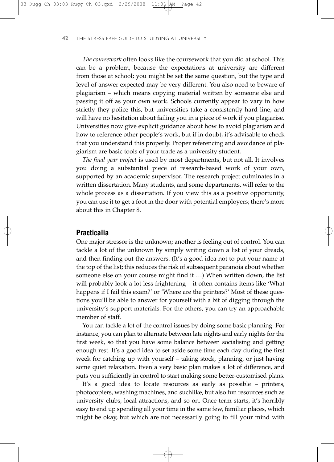*The coursework* often looks like the coursework that you did at school. This can be a problem, because the expectations at university are different from those at school; you might be set the same question, but the type and level of answer expected may be very different. You also need to beware of plagiarism – which means copying material written by someone else and passing it off as your own work. Schools currently appear to vary in how strictly they police this, but universities take a consistently hard line, and will have no hesitation about failing you in a piece of work if you plagiarise. Universities now give explicit guidance about how to avoid plagiarism and how to reference other people's work, but if in doubt, it's advisable to check that you understand this properly. Proper referencing and avoidance of plagiarism are basic tools of your trade as a university student.

*The final year project* is used by most departments, but not all. It involves you doing a substantial piece of research-based work of your own, supported by an academic supervisor. The research project culminates in a written dissertation. Many students, and some departments, will refer to the whole process as a dissertation. If you view this as a positive opportunity, you can use it to get a foot in the door with potential employers; there's more about this in Chapter 8.

# **Practicalia**

One major stressor is the unknown; another is feeling out of control. You can tackle a lot of the unknown by simply writing down a list of your dreads, and then finding out the answers. (It's a good idea not to put your name at the top of the list; this reduces the risk of subsequent paranoia about whether someone else on your course might find it …) When written down, the list will probably look a lot less frightening – it often contains items like 'What happens if I fail this exam?' or 'Where are the printers?' Most of these questions you'll be able to answer for yourself with a bit of digging through the university's support materials. For the others, you can try an approachable member of staff.

You can tackle a lot of the control issues by doing some basic planning. For instance, you can plan to alternate between late nights and early nights for the first week, so that you have some balance between socialising and getting enough rest. It's a good idea to set aside some time each day during the first week for catching up with yourself – taking stock, planning, or just having some quiet relaxation. Even a very basic plan makes a lot of difference, and puts you sufficiently in control to start making some better-customised plans.

It's a good idea to locate resources as early as possible – printers, photocopiers, washing machines, and suchlike, but also fun resources such as university clubs, local attractions, and so on. Once term starts, it's horribly easy to end up spending all your time in the same few, familiar places, which might be okay, but which are not necessarily going to fill your mind with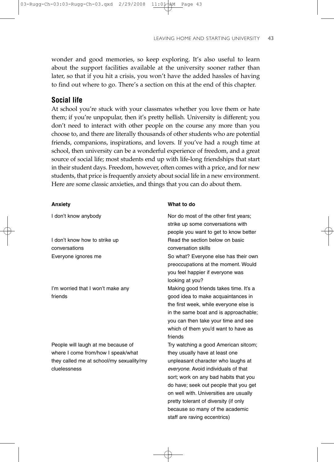wonder and good memories, so keep exploring. It's also useful to learn about the support facilities available at the university sooner rather than later, so that if you hit a crisis, you won't have the added hassles of having to find out where to go. There's a section on this at the end of this chapter.

# **Social life**

At school you're stuck with your classmates whether you love them or hate them; if you're unpopular, then it's pretty hellish. University is different; you don't need to interact with other people on the course any more than you choose to, and there are literally thousands of other students who are potential friends, companions, inspirations, and lovers. If you've had a rough time at school, then university can be a wonderful experience of freedom, and a great source of social life; most students end up with life-long friendships that start in their student days. Freedom, however, often comes with a price, and for new students, that price is frequently anxiety about social life in a new environment. Here are some classic anxieties, and things that you can do about them.

conversations conversation skills

People will laugh at me because of Try watching a good American sitcom; where I come from/how I speak/what they usually have at least one they called me at school/my sexuality/my unpleasant character who laughs at cluelessness everyone. Avoid individuals of that

#### **Anxiety What to do**

I don't know anybody **Nor do most of the other first years**; strike up some conversations with people you want to get to know better I don't know how to strike up **Read the section below on basic** 

Everyone ignores me So what? Everyone else has their own preoccupations at the moment. Would you feel happier if everyone was looking at you?

I'm worried that I won't make any **Making good friends takes time.** It's a friends good idea to make acquaintances in the first week, while everyone else is in the same boat and is approachable; you can then take your time and see which of them you'd want to have as friends

> sort; work on any bad habits that you do have; seek out people that you get on well with. Universities are usually pretty tolerant of diversity (if only because so many of the academic staff are raving eccentrics)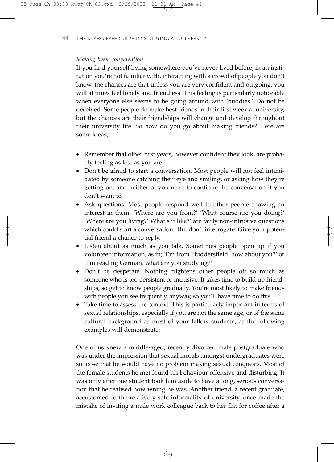#### *Making basic conversation*

If you find yourself living somewhere you've never lived before, in an institution you're not familiar with, interacting with a crowd of people you don't know, the chances are that unless you are very confident and outgoing, you will at times feel lonely and friendless. This feeling is particularly noticeable when everyone else seems to be going around with 'buddies.' Do not be deceived. Some people do make best friends in their first week at university, but the chances are their friendships will change and develop throughout their university life. So how do you go about making friends? Here are some ideas;

- Remember that other first years, however confident they look, are probably feeling as lost as you are.
- Don't be afraid to start a conversation. Most people will not feel intimidated by someone catching their eye and smiling, or asking how they're getting on, and neither of you need to continue the conversation if you don't want to.
- Ask questions. Most people respond well to other people showing an interest in them. 'Where are you from?' 'What course are you doing?' 'Where are you living?' What's it like?' are fairly non-intrusive questions which could start a conversation. But don't interrogate. Give your potential friend a chance to reply.
- Listen about as much as you talk. Sometimes people open up if you volunteer information, as in; 'I'm from Huddersfield, how about you?' or 'I'm reading German, what are you studying?'
- Don't be desperate. Nothing frightens other people off so much as someone who is too persistent or intrusive. It takes time to build up friendships, so get to know people gradually. You're most likely to make friends with people you see frequently, anyway, so you'll have time to do this.
- Take time to assess the context. This is particularly important in terms of sexual relationships, especially if you are not the same age, or of the same cultural background as most of your fellow students, as the following examples will demonstrate:

One of us knew a middle-aged, recently divorced male postgraduate who was under the impression that sexual morals amongst undergraduates were so loose that he would have no problem making sexual conquests. Most of the female students he met found his behaviour offensive and disturbing. It was only after one student took him aside to have a long, serious conversation that he realised how wrong he was. Another friend, a recent graduate, accustomed to the relatively safe informality of university, once made the mistake of inviting a male work colleague back to her flat for coffee after a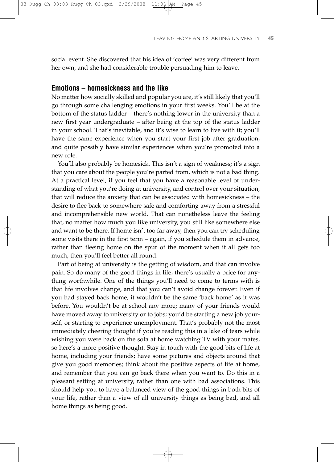social event. She discovered that his idea of 'coffee' was very different from her own, and she had considerable trouble persuading him to leave.

# **Emotions – homesickness and the like**

No matter how socially skilled and popular you are, it's still likely that you'll go through some challenging emotions in your first weeks. You'll be at the bottom of the status ladder – there's nothing lower in the university than a new first year undergraduate – after being at the top of the status ladder in your school. That's inevitable, and it's wise to learn to live with it; you'll have the same experience when you start your first job after graduation, and quite possibly have similar experiences when you're promoted into a new role.

You'll also probably be homesick. This isn't a sign of weakness; it's a sign that you care about the people you're parted from, which is not a bad thing. At a practical level, if you feel that you have a reasonable level of understanding of what you're doing at university, and control over your situation, that will reduce the anxiety that can be associated with homesickness – the desire to flee back to somewhere safe and comforting away from a stressful and incomprehensible new world. That can nonetheless leave the feeling that, no matter how much you like university, you still like somewhere else and want to be there. If home isn't too far away, then you can try scheduling some visits there in the first term – again, if you schedule them in advance, rather than fleeing home on the spur of the moment when it all gets too much, then you'll feel better all round.

Part of being at university is the getting of wisdom, and that can involve pain. So do many of the good things in life, there's usually a price for anything worthwhile. One of the things you'll need to come to terms with is that life involves change, and that you can't avoid change forever. Even if you had stayed back home, it wouldn't be the same 'back home' as it was before. You wouldn't be at school any more; many of your friends would have moved away to university or to jobs; you'd be starting a new job yourself, or starting to experience unemployment. That's probably not the most immediately cheering thought if you're reading this in a lake of tears while wishing you were back on the sofa at home watching TV with your mates, so here's a more positive thought. Stay in touch with the good bits of life at home, including your friends; have some pictures and objects around that give you good memories; think about the positive aspects of life at home, and remember that you can go back there when you want to. Do this in a pleasant setting at university, rather than one with bad associations. This should help you to have a balanced view of the good things in both bits of your life, rather than a view of all university things as being bad, and all home things as being good.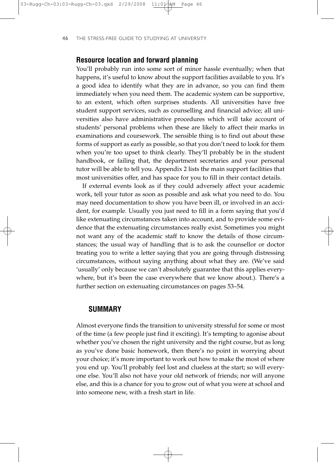# **Resource location and forward planning**

You'll probably run into some sort of minor hassle eventually; when that happens, it's useful to know about the support facilities available to you. It's a good idea to identify what they are in advance, so you can find them immediately when you need them. The academic system can be supportive, to an extent, which often surprises students. All universities have free student support services, such as counselling and financial advice; all universities also have administrative procedures which will take account of students' personal problems when these are likely to affect their marks in examinations and coursework. The sensible thing is to find out about these forms of support as early as possible, so that you don't need to look for them when you're too upset to think clearly. They'll probably be in the student handbook, or failing that, the department secretaries and your personal tutor will be able to tell you. Appendix 2 lists the main support facilities that most universities offer, and has space for you to fill in their contact details.

If external events look as if they could adversely affect your academic work, tell your tutor as soon as possible and ask what you need to do. You may need documentation to show you have been ill, or involved in an accident, for example. Usually you just need to fill in a form saying that you'd like extenuating circumstances taken into account, and to provide some evidence that the extenuating circumstances really exist. Sometimes you might not want any of the academic staff to know the details of those circumstances; the usual way of handling that is to ask the counsellor or doctor treating you to write a letter saying that you are going through distressing circumstances, without saying anything about what they are. (We've said 'usually' only because we can't absolutely guarantee that this applies everywhere, but it's been the case everywhere that we know about.). There's a further section on extenuating circumstances on pages 53–54.

## **SUMMARY**

Almost everyone finds the transition to university stressful for some or most of the time (a few people just find it exciting). It's tempting to agonise about whether you've chosen the right university and the right course, but as long as you've done basic homework, then there's no point in worrying about your choice; it's more important to work out how to make the most of where you end up. You'll probably feel lost and clueless at the start; so will everyone else. You'll also not have your old network of friends; nor will anyone else, and this is a chance for you to grow out of what you were at school and into someone new, with a fresh start in life.